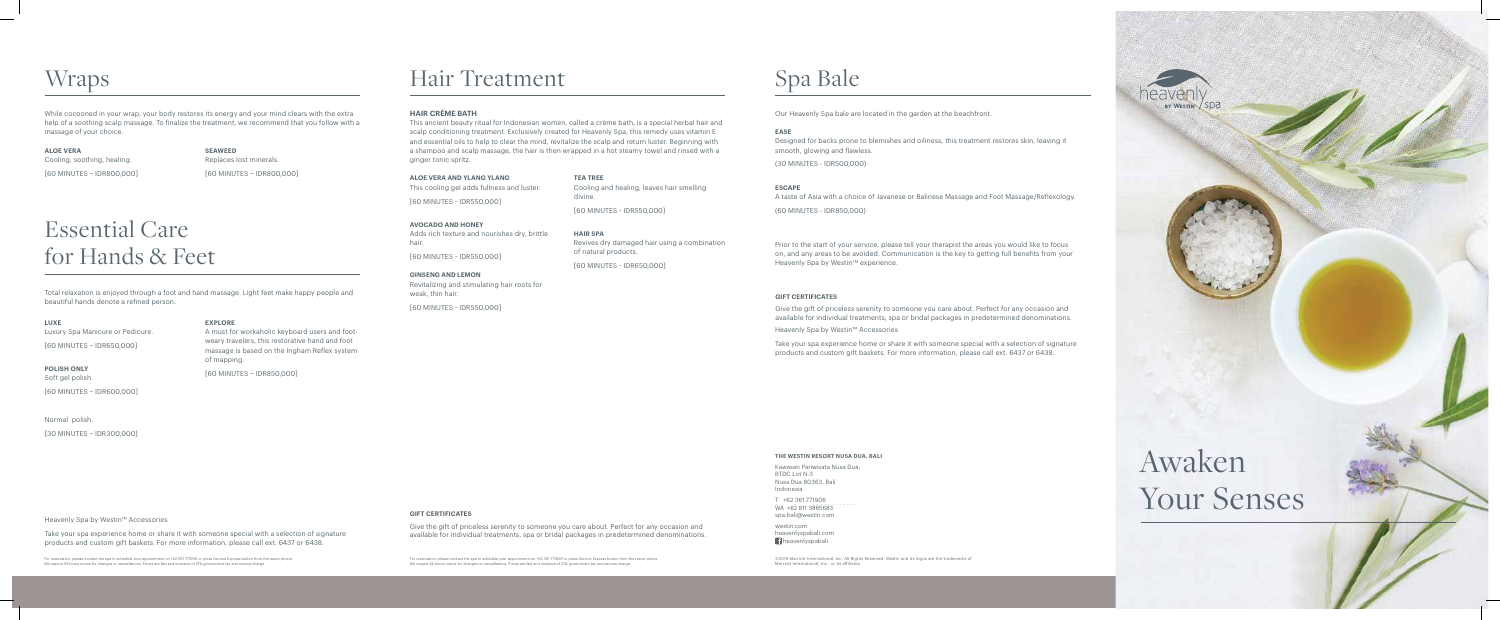Heavenly Spa by Westin™ Accessories

Take your spa experience home or share it with someone special with a selection of signature products and custom gift baskets. For more information, please call ext. 6437 or 6438.

# Hair Treatment

#### **HAIR CRÈME BATH**

This ancient beauty ritual for Indonesian women, called a crème bath, is a special herbal hair and scalp conditioning treatment. Exclusively created for Heavenly Spa, this remedy uses vitamin E and essential oils to help to clear the mind, revitalize the scalp and return luster. Beginning with a shampoo and scalp massage, the hair is then wrapped in a hot steamy towel and rinsed with a ginger tonic spritz.

**ALOE VERA AND YLANG YLANG** This cooling gel adds fullness and luster.

[60 MINUTES - IDR550,000]

**AVOCADO AND HONEY** Adds rich texture and nourishes dry, brittle hair.

[60 MINUTES - IDR550,000]

**GINSENG AND LEMON** Revitalizing and stimulating hair roots for weak, thin hair.

[60 MINUTES - IDR550,000]

westin.com heavenlyspabali.com **H**heavenlyspabali

Marriott International, Inc., or its affiliates

**TEA TREE** Cooling and healing, leaves hair smelling divine. [60 MINUTES - IDR550,000]

**HAIR SPA** Revives dry damaged hair using a combination of natural products.

[60 MINUTES - IDR650,000]

For reservation, please contact the spa to schedule your appointment on +62 361 771906 or press Service Express button from the resort phone. We require 24-hours notice for changes or cancellations. Prices are Net and inclusive of 21% government tax and service charge.

For reservation, please contact the spa to schedule your appointment on +62 361 771906 or press Service Express button from the resort phone. We require 24-hours notice for changes or cancellations. Prices are Net and inclusive of 21% government tax and service charge.

#### **THE WESTIN RESORT NUSA DUA, BALI**

Kawasan Pariwisata Nusa Dua, BTDC Lot N-3 Nusa Dua 80363, Bali Indonesia

T +62 361.771906 WA +62 811 3885683 spa.bali@westin.com

# Awaken Your Senses

BY WESTINT

## **Wraps**

While cocooned in your wrap, your body restores its energy and your mind clears with the extra help of a soothing scalp massage. To finalize the treatment, we recommend that you follow with a massage of your choice.

**ALOE VERA**  Cooling, soothing, healing. [60 MINUTES – IDR800,000] **SEAWEED** Replaces lost minerals. [60 MINUTES – IDR800,000]

# Essential Care for Hands & Feet

Total relaxation is enjoyed through a foot and hand massage. Light feet make happy people and beautiful hands denote a refined person.

**LUXE** Luxury Spa Manicure or Pedicure. [60 MINUTES – IDR650,000]

**POLISH ONLY** Soft gel polish.

[60 MINUTES – IDR600,000]

Normal polish.

[30 MINUTES – IDR300,000]

## **EXPLORE**

A must for workaholic keyboard users and footweary travelers, this restorative hand and foot massage is based on the Ingham Reflex system of mapping.

[60 MINUTES – IDR850,000]

# Spa Bale

Our Heavenly Spa bale are located in the garden at the beachfront.

**EASE**

Designed for backs prone to blemishes and oiliness, this treatment restores skin, leaving it smooth, glowing and flawless.

(30 MINUTES - IDR500,000)

**ESCAPE**

A taste of Asia with a choice of Javanese or Balinese Massage and Foot Massage/Reflexology. (60 MINUTES - IDR850,000)

Prior to the start of your service, please tell your therapist the areas you would like to focus on, and any areas to be avoided. Communication is the key to getting full benefits from your Heavenly Spa by Westin™ experience.

©2018 Marriott International, Inc. All Rights Reserved. Westin and its logos are the trademarks of

#### **GIFT CERTIFICATES**

Give the gift of priceless serenity to someone you care about. Perfect for any occasion and available for individual treatments, spa or bridal packages in predetermined denominations.

#### **GIFT CERTIFICATES**

Give the gift of priceless serenity to someone you care about. Perfect for any occasion and available for individual treatments, spa or bridal packages in predetermined denominations.

Heavenly Spa by Westin™ Accessories

Take your spa experience home or share it with someone special with a selection of signature products and custom gift baskets. For more information, please call ext. 6437 or 6438.